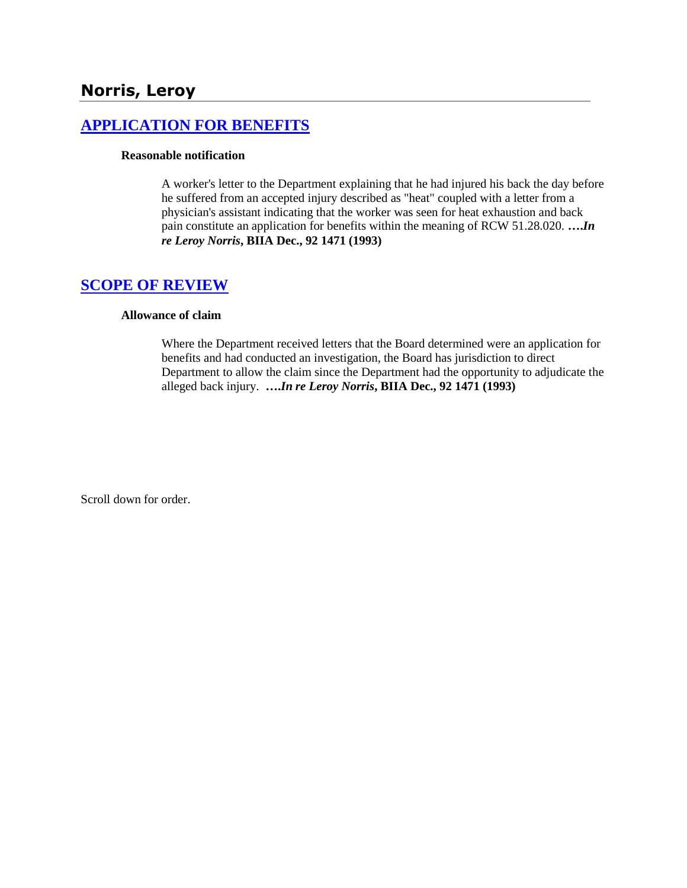# **Norris, Leroy**

### **[APPLICATION FOR BENEFITS](http://www.biia.wa.gov/SDSubjectIndex.html#APPLICATION_FOR_BENEFITS)**

#### **Reasonable notification**

A worker's letter to the Department explaining that he had injured his back the day before he suffered from an accepted injury described as "heat" coupled with a letter from a physician's assistant indicating that the worker was seen for heat exhaustion and back pain constitute an application for benefits within the meaning of RCW 51.28.020. **….***In re Leroy Norris***, BIIA Dec., 92 1471 (1993)** 

## **[SCOPE OF REVIEW](http://www.biia.wa.gov/SDSubjectIndex.html#SCOPE_OF_REVIEW)**

#### **Allowance of claim**

Where the Department received letters that the Board determined were an application for benefits and had conducted an investigation, the Board has jurisdiction to direct Department to allow the claim since the Department had the opportunity to adjudicate the alleged back injury. **….***In re Leroy Norris***, BIIA Dec., 92 1471 (1993)**

Scroll down for order.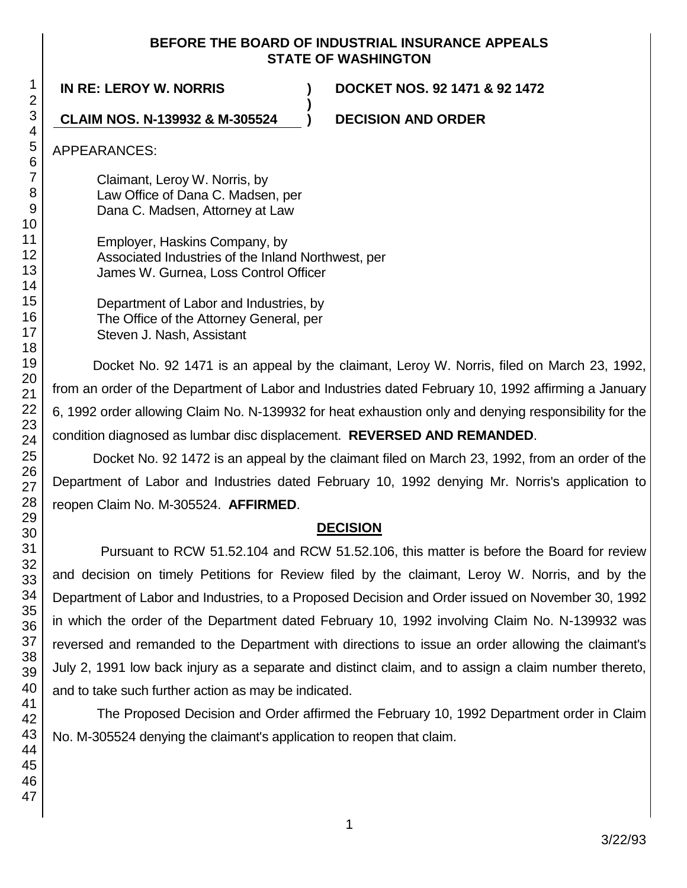### **BEFORE THE BOARD OF INDUSTRIAL INSURANCE APPEALS STATE OF WASHINGTON**

**)**

**IN RE: LEROY W. NORRIS ) DOCKET NOS. 92 1471 & 92 1472**

**CLAIM NOS. N-139932 & M-305524 ) DECISION AND ORDER**

APPEARANCES:

Claimant, Leroy W. Norris, by Law Office of Dana C. Madsen, per Dana C. Madsen, Attorney at Law

Employer, Haskins Company, by Associated Industries of the Inland Northwest, per James W. Gurnea, Loss Control Officer

Department of Labor and Industries, by The Office of the Attorney General, per Steven J. Nash, Assistant

Docket No. 92 1471 is an appeal by the claimant, Leroy W. Norris, filed on March 23, 1992, from an order of the Department of Labor and Industries dated February 10, 1992 affirming a January 6, 1992 order allowing Claim No. N-139932 for heat exhaustion only and denying responsibility for the condition diagnosed as lumbar disc displacement. **REVERSED AND REMANDED**.

Docket No. 92 1472 is an appeal by the claimant filed on March 23, 1992, from an order of the Department of Labor and Industries dated February 10, 1992 denying Mr. Norris's application to reopen Claim No. M-305524. **AFFIRMED**.

### **DECISION**

Pursuant to RCW 51.52.104 and RCW 51.52.106, this matter is before the Board for review and decision on timely Petitions for Review filed by the claimant, Leroy W. Norris, and by the Department of Labor and Industries, to a Proposed Decision and Order issued on November 30, 1992 in which the order of the Department dated February 10, 1992 involving Claim No. N-139932 was reversed and remanded to the Department with directions to issue an order allowing the claimant's July 2, 1991 low back injury as a separate and distinct claim, and to assign a claim number thereto, and to take such further action as may be indicated.

The Proposed Decision and Order affirmed the February 10, 1992 Department order in Claim No. M-305524 denying the claimant's application to reopen that claim.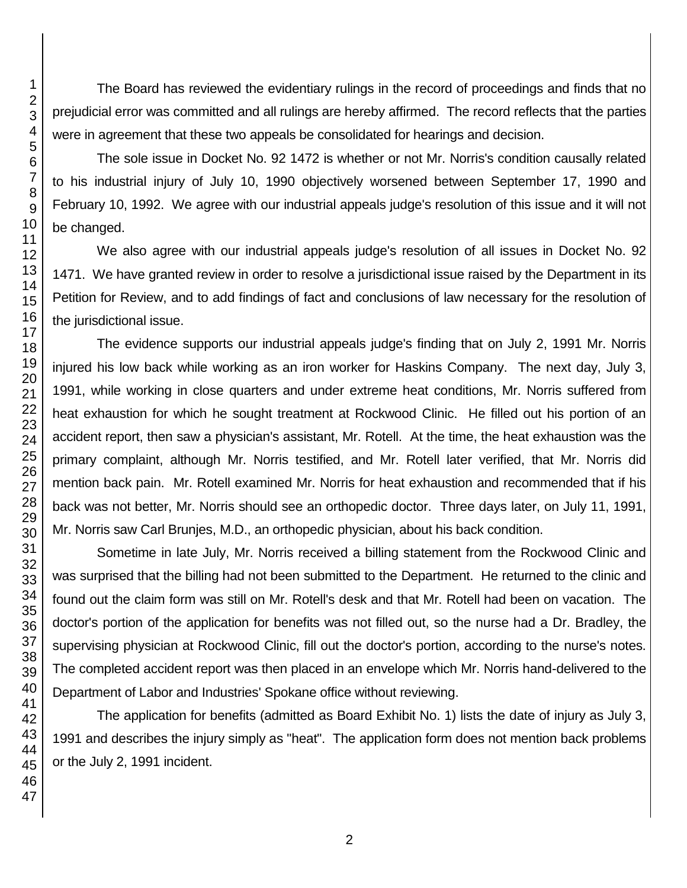The Board has reviewed the evidentiary rulings in the record of proceedings and finds that no prejudicial error was committed and all rulings are hereby affirmed. The record reflects that the parties were in agreement that these two appeals be consolidated for hearings and decision.

The sole issue in Docket No. 92 1472 is whether or not Mr. Norris's condition causally related to his industrial injury of July 10, 1990 objectively worsened between September 17, 1990 and February 10, 1992. We agree with our industrial appeals judge's resolution of this issue and it will not be changed.

We also agree with our industrial appeals judge's resolution of all issues in Docket No. 92 1471. We have granted review in order to resolve a jurisdictional issue raised by the Department in its Petition for Review, and to add findings of fact and conclusions of law necessary for the resolution of the jurisdictional issue.

The evidence supports our industrial appeals judge's finding that on July 2, 1991 Mr. Norris injured his low back while working as an iron worker for Haskins Company. The next day, July 3, 1991, while working in close quarters and under extreme heat conditions, Mr. Norris suffered from heat exhaustion for which he sought treatment at Rockwood Clinic. He filled out his portion of an accident report, then saw a physician's assistant, Mr. Rotell. At the time, the heat exhaustion was the primary complaint, although Mr. Norris testified, and Mr. Rotell later verified, that Mr. Norris did mention back pain. Mr. Rotell examined Mr. Norris for heat exhaustion and recommended that if his back was not better, Mr. Norris should see an orthopedic doctor. Three days later, on July 11, 1991, Mr. Norris saw Carl Brunjes, M.D., an orthopedic physician, about his back condition.

Sometime in late July, Mr. Norris received a billing statement from the Rockwood Clinic and was surprised that the billing had not been submitted to the Department. He returned to the clinic and found out the claim form was still on Mr. Rotell's desk and that Mr. Rotell had been on vacation. The doctor's portion of the application for benefits was not filled out, so the nurse had a Dr. Bradley, the supervising physician at Rockwood Clinic, fill out the doctor's portion, according to the nurse's notes. The completed accident report was then placed in an envelope which Mr. Norris hand-delivered to the Department of Labor and Industries' Spokane office without reviewing.

The application for benefits (admitted as Board Exhibit No. 1) lists the date of injury as July 3, 1991 and describes the injury simply as "heat". The application form does not mention back problems or the July 2, 1991 incident.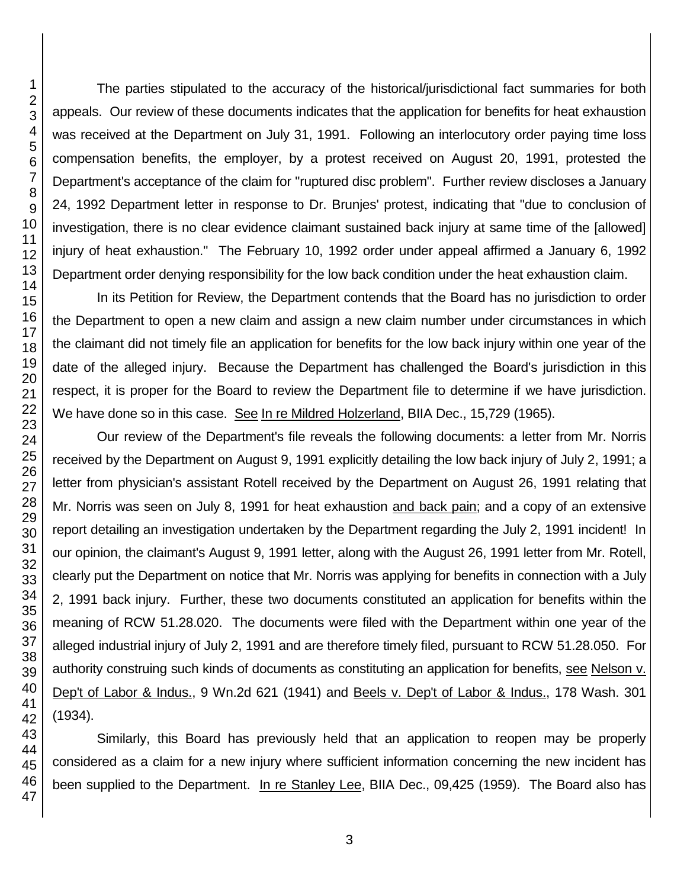The parties stipulated to the accuracy of the historical/jurisdictional fact summaries for both appeals. Our review of these documents indicates that the application for benefits for heat exhaustion was received at the Department on July 31, 1991. Following an interlocutory order paying time loss compensation benefits, the employer, by a protest received on August 20, 1991, protested the Department's acceptance of the claim for "ruptured disc problem". Further review discloses a January 24, 1992 Department letter in response to Dr. Brunjes' protest, indicating that "due to conclusion of investigation, there is no clear evidence claimant sustained back injury at same time of the [allowed] injury of heat exhaustion." The February 10, 1992 order under appeal affirmed a January 6, 1992 Department order denying responsibility for the low back condition under the heat exhaustion claim.

In its Petition for Review, the Department contends that the Board has no jurisdiction to order the Department to open a new claim and assign a new claim number under circumstances in which the claimant did not timely file an application for benefits for the low back injury within one year of the date of the alleged injury. Because the Department has challenged the Board's jurisdiction in this respect, it is proper for the Board to review the Department file to determine if we have jurisdiction. We have done so in this case. See In re Mildred Holzerland, BIIA Dec., 15,729 (1965).

Our review of the Department's file reveals the following documents: a letter from Mr. Norris received by the Department on August 9, 1991 explicitly detailing the low back injury of July 2, 1991; a letter from physician's assistant Rotell received by the Department on August 26, 1991 relating that Mr. Norris was seen on July 8, 1991 for heat exhaustion and back pain; and a copy of an extensive report detailing an investigation undertaken by the Department regarding the July 2, 1991 incident! In our opinion, the claimant's August 9, 1991 letter, along with the August 26, 1991 letter from Mr. Rotell, clearly put the Department on notice that Mr. Norris was applying for benefits in connection with a July 2, 1991 back injury. Further, these two documents constituted an application for benefits within the meaning of RCW 51.28.020. The documents were filed with the Department within one year of the alleged industrial injury of July 2, 1991 and are therefore timely filed, pursuant to RCW 51.28.050. For authority construing such kinds of documents as constituting an application for benefits, see Nelson v. Dep't of Labor & Indus., 9 Wn.2d 621 (1941) and Beels v. Dep't of Labor & Indus., 178 Wash. 301 (1934).

Similarly, this Board has previously held that an application to reopen may be properly considered as a claim for a new injury where sufficient information concerning the new incident has been supplied to the Department. In re Stanley Lee, BIIA Dec., 09,425 (1959). The Board also has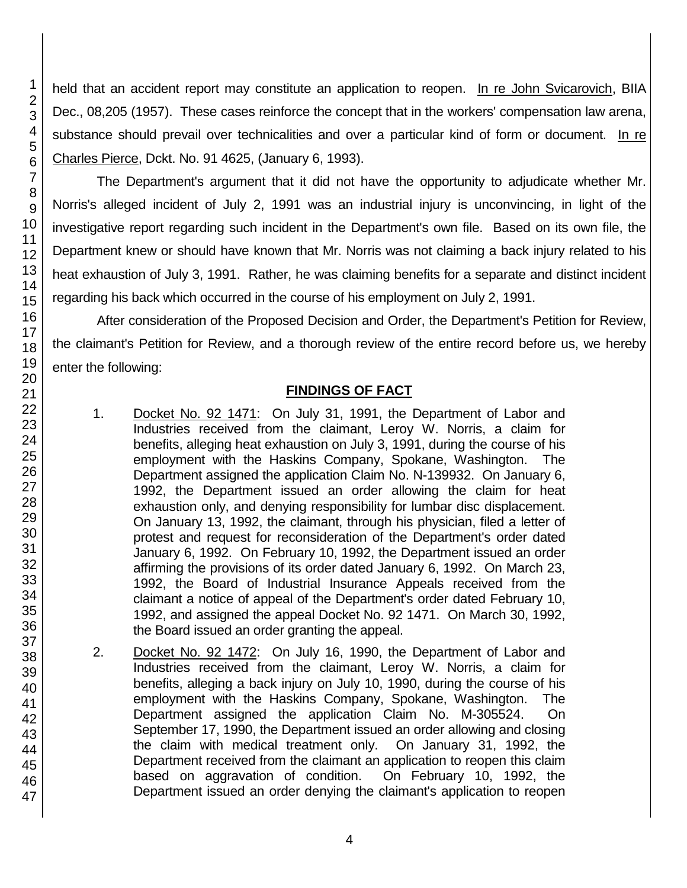held that an accident report may constitute an application to reopen. In re John Svicarovich, BIIA Dec., 08,205 (1957). These cases reinforce the concept that in the workers' compensation law arena, substance should prevail over technicalities and over a particular kind of form or document. In re Charles Pierce, Dckt. No. 91 4625, (January 6, 1993).

The Department's argument that it did not have the opportunity to adjudicate whether Mr. Norris's alleged incident of July 2, 1991 was an industrial injury is unconvincing, in light of the investigative report regarding such incident in the Department's own file. Based on its own file, the Department knew or should have known that Mr. Norris was not claiming a back injury related to his heat exhaustion of July 3, 1991. Rather, he was claiming benefits for a separate and distinct incident regarding his back which occurred in the course of his employment on July 2, 1991.

After consideration of the Proposed Decision and Order, the Department's Petition for Review, the claimant's Petition for Review, and a thorough review of the entire record before us, we hereby enter the following:

## **FINDINGS OF FACT**

- 1. Docket No. 92 1471: On July 31, 1991, the Department of Labor and Industries received from the claimant, Leroy W. Norris, a claim for benefits, alleging heat exhaustion on July 3, 1991, during the course of his employment with the Haskins Company, Spokane, Washington. The Department assigned the application Claim No. N-139932. On January 6, 1992, the Department issued an order allowing the claim for heat exhaustion only, and denying responsibility for lumbar disc displacement. On January 13, 1992, the claimant, through his physician, filed a letter of protest and request for reconsideration of the Department's order dated January 6, 1992. On February 10, 1992, the Department issued an order affirming the provisions of its order dated January 6, 1992. On March 23, 1992, the Board of Industrial Insurance Appeals received from the claimant a notice of appeal of the Department's order dated February 10, 1992, and assigned the appeal Docket No. 92 1471. On March 30, 1992, the Board issued an order granting the appeal.
- 2. Docket No. 92 1472: On July 16, 1990, the Department of Labor and Industries received from the claimant, Leroy W. Norris, a claim for benefits, alleging a back injury on July 10, 1990, during the course of his employment with the Haskins Company, Spokane, Washington. The Department assigned the application Claim No. M-305524. On September 17, 1990, the Department issued an order allowing and closing the claim with medical treatment only. On January 31, 1992, the Department received from the claimant an application to reopen this claim based on aggravation of condition. On February 10, 1992, the Department issued an order denying the claimant's application to reopen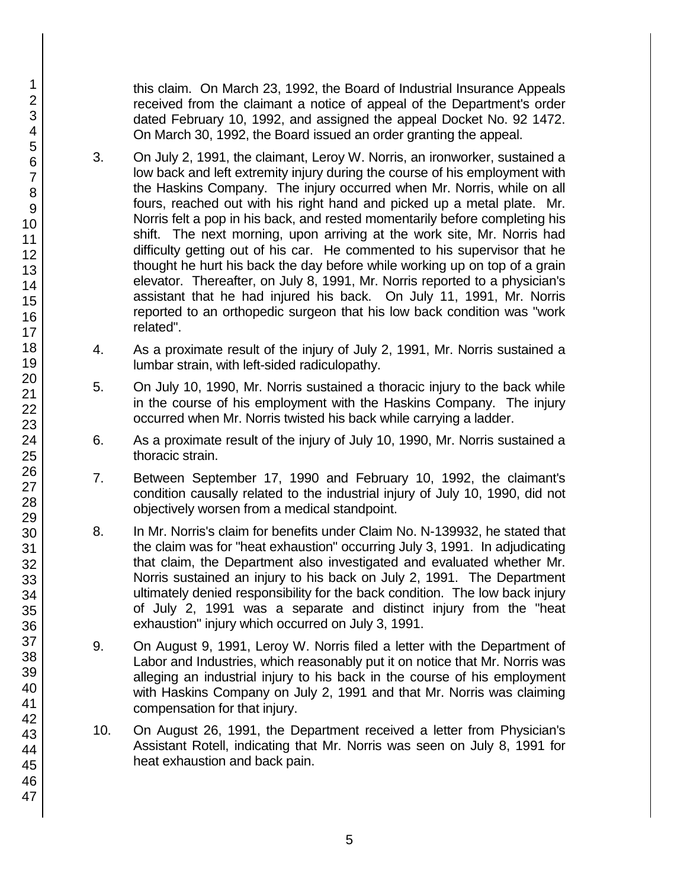this claim. On March 23, 1992, the Board of Industrial Insurance Appeals received from the claimant a notice of appeal of the Department's order dated February 10, 1992, and assigned the appeal Docket No. 92 1472. On March 30, 1992, the Board issued an order granting the appeal.

- 3. On July 2, 1991, the claimant, Leroy W. Norris, an ironworker, sustained a low back and left extremity injury during the course of his employment with the Haskins Company. The injury occurred when Mr. Norris, while on all fours, reached out with his right hand and picked up a metal plate. Mr. Norris felt a pop in his back, and rested momentarily before completing his shift. The next morning, upon arriving at the work site, Mr. Norris had difficulty getting out of his car. He commented to his supervisor that he thought he hurt his back the day before while working up on top of a grain elevator. Thereafter, on July 8, 1991, Mr. Norris reported to a physician's assistant that he had injured his back. On July 11, 1991, Mr. Norris reported to an orthopedic surgeon that his low back condition was "work related".
- 4. As a proximate result of the injury of July 2, 1991, Mr. Norris sustained a lumbar strain, with left-sided radiculopathy.
- 5. On July 10, 1990, Mr. Norris sustained a thoracic injury to the back while in the course of his employment with the Haskins Company. The injury occurred when Mr. Norris twisted his back while carrying a ladder.
- 6. As a proximate result of the injury of July 10, 1990, Mr. Norris sustained a thoracic strain.
- 7. Between September 17, 1990 and February 10, 1992, the claimant's condition causally related to the industrial injury of July 10, 1990, did not objectively worsen from a medical standpoint.
- 8. In Mr. Norris's claim for benefits under Claim No. N-139932, he stated that the claim was for "heat exhaustion" occurring July 3, 1991. In adjudicating that claim, the Department also investigated and evaluated whether Mr. Norris sustained an injury to his back on July 2, 1991. The Department ultimately denied responsibility for the back condition. The low back injury of July 2, 1991 was a separate and distinct injury from the "heat exhaustion" injury which occurred on July 3, 1991.
- 9. On August 9, 1991, Leroy W. Norris filed a letter with the Department of Labor and Industries, which reasonably put it on notice that Mr. Norris was alleging an industrial injury to his back in the course of his employment with Haskins Company on July 2, 1991 and that Mr. Norris was claiming compensation for that injury.
- 10. On August 26, 1991, the Department received a letter from Physician's Assistant Rotell, indicating that Mr. Norris was seen on July 8, 1991 for heat exhaustion and back pain.